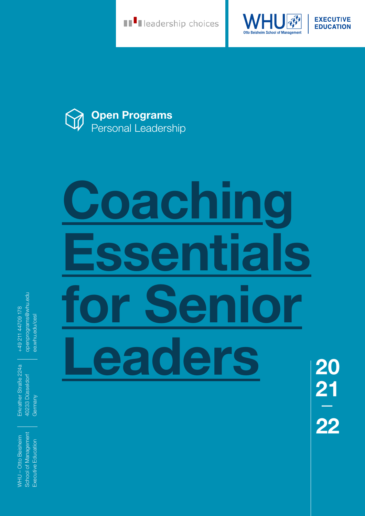**THE READERS** Leadership choices



**EXECUTIVE EDUCATION** 



# **Coaching Essentials for Senior Leaders**

openprograms@whu.edu openprograms@whu.edu +49 211 44709 178 +49 211 44709 178 ee.whu.edu/cesl ee.whu.edu/cesl

Erkrather Straße 224a Erkrather Straße 224a 40233 Düsseldorf 40233 Düsseldorf Germany

School of Management School of Management **NHU-Otto Beisheim** WHU – Otto Beisheim Executive Education Executive Education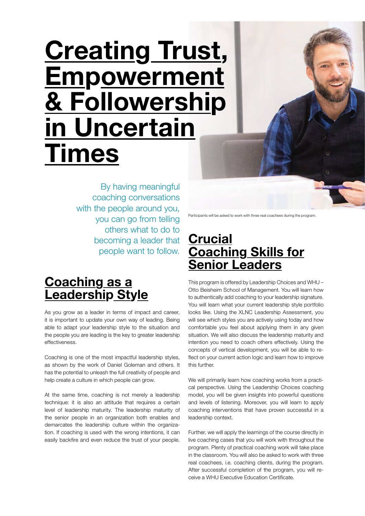## **Creating Trust, Empowerment & Followership in Uncertain Times**

By having meaningful coaching conversations with the people around you, you can go from telling others what to do to becoming a leader that people want to follow.

## **Coaching as a Leadership Style**

As you grow as a leader in terms of impact and career, it is important to update your own way of leading. Being able to adapt your leadership style to the situation and the people you are leading is the key to greater leadership effectiveness.

Coaching is one of the most impactful leadership styles, as shown by the work of Daniel Goleman and others. It has the potential to unleash the full creativity of people and help create a culture in which people can grow.

At the same time, coaching is not merely a leadership technique: it is also an attitude that requires a certain level of leadership maturity. The leadership maturity of the senior people in an organization both enables and demarcates the leadership culture within the organization. If coaching is used with the wrong intentions, it can easily backfire and even reduce the trust of your people.

Participants will be asked to work with three real coachees during the program.

## **Crucial Coaching Skills for Senior Leaders**

This program is offered by Leadership Choices and WHU – Otto Beisheim School of Management. You will learn how to authentically add coaching to your leadership signature. You will learn what your current leadership style portfolio looks like. Using the XLNC Leadership Assessment, you will see which styles you are actively using today and how comfortable you feel about applying them in any given situation. We will also discuss the leadership maturity and intention you need to coach others effectively. Using the concepts of vertical development, you will be able to reflect on your current action logic and learn how to improve this further.

We will primarily learn how coaching works from a practical perspective. Using the Leadership Choices coaching model, you will be given insights into powerful questions and levels of listening. Moreover, you will learn to apply coaching interventions that have proven successful in a leadership context.

Further, we will apply the learnings of the course directly in live coaching cases that you will work with throughout the program. Plenty of practical coaching work will take place in the classroom. You will also be asked to work with three real coachees, i.e. coaching clients, during the program. After successful completion of the program, you will receive a WHU Executive Education Certificate.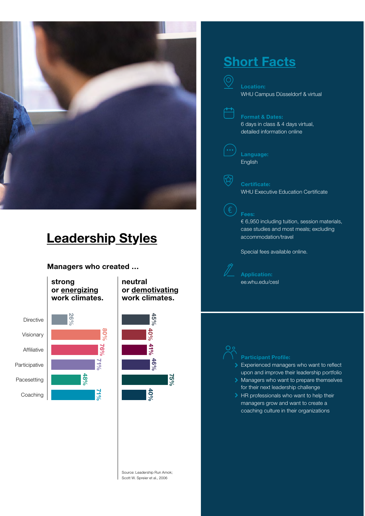

## **Leadership Styles**

**Managers who created …**

**strong or energizing work climates.**

**48%** 

**71%**

**71%**

**76%**

**80%**



**neutral or demotivating work climates.**



Source: Leadership Run Amok; Scott W. Spreier et al., 2006

## **Short Facts**

**Location:** WHU Campus Düsseldorf & virtual

 $\circledcirc$ 

**Format & Dates:**

6 days in class & 4 days virtual, detailed information online

**Language:** English

#### **Certificate:**

公

WHU Executive Education Certificate

#### **Fees:**

€ 6,950 including tuition, session materials, case studies and most meals; excluding accommodation/travel

Special fees available online.

**Application:** ee.whu.edu/cesl

Experienced managers who want to reflect upon and improve their leadership portfolio

- Managers who want to prepare themselves for their next leadership challenge
- > HR professionals who want to help their managers grow and want to create a coaching culture in their organizations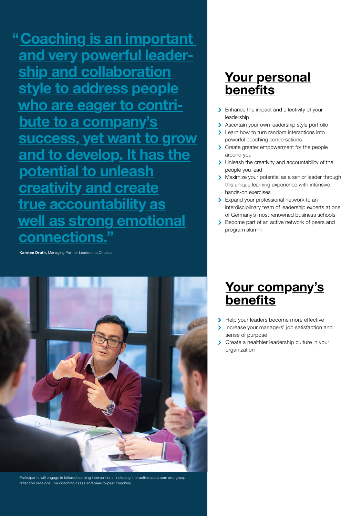**"Coaching is an important and very powerful leadership and collaboration style to address people who are eager to contribute to a company's success, yet want to grow and to develop. It has the potential to unleash creativity and create true accountability as well as strong emotional connections."**

**Karsten Drath,** Managing Partner Leadership Choices



Participants will engage in tailored learning interventions, including interactive classroom and group reflection sessions, live coaching cases and peer-to-peer coaching.

## **Your personal benefits**

- > Enhance the impact and effectivity of your leadership
- > Ascertain your own leadership style portfolio
- **Learn how to turn random interactions into** powerful coaching conversations
- > Create greater empowerment for the people around you
- If Unleash the creativity and accountability of the people you lead
- > Maximize your potential as a senior leader through this unique learning experience with intensive, hands-on exercises
- **Expand your professional network to an** interdisciplinary team of leadership experts at one of Germany's most renowned business schools
- Become part of an active network of peers and program alumni

## **Your company's benefits**

- Help your leaders become more effective
- Increase your managers' job satisfaction and Ñ. sense of purpose
- Create a healthier leadership culture in your S organization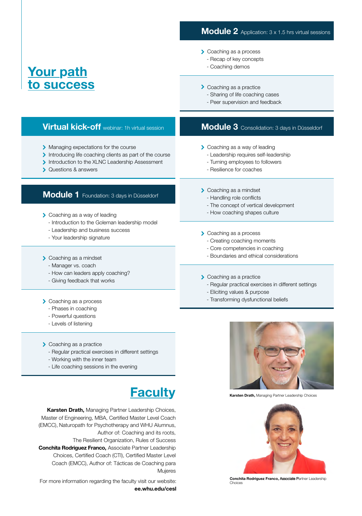#### **Module 2** Application: 3 x 1.5 hrs virtual sessions

- > Coaching as a process
	- Recap of key concepts
	- Coaching demos

### **Your path to success**

- 
- Sharing of life coaching cases
- Peer supervision and feedback

#### **Virtual kick-off** webinar: 1h virtual session

- > Managing expectations for the course
- Introducing life coaching clients as part of the course
- Introduction to the XLNC Leadership Assessment
- **▶ Questions & answers**

#### **Module 1** Foundation: 3 days in Düsseldorf

- **Coaching as a way of leading** 
	- Introduction to the Goleman leadership model
	- Leadership and business success
	- Your leadership signature

#### > Coaching as a mindset

- Manager vs. coach
- How can leaders apply coaching?
- Giving feedback that works

#### > Coaching as a process

- Phases in coaching
- Powerful questions
- Levels of listening
- > Coaching as a practice
	- Regular practical exercises in different settings
	- Working with the inner team
	- Life coaching sessions in the evening

## **Faculty**

**Karsten Drath,** Managing Partner Leadership Choices, Master of Engineering, MBA, Certified Master Level Coach (EMCC), Naturopath for Psychotherapy and WHU Alumnus, Author of: Coaching and its roots, The Resilient Organization, Rules of Success Conchita Rodriguez Franco**,** Associate Partner Leadership Choices, Certified Coach (CTI), Certified Master Level Coach (EMCC), Author of: Tácticas de Coaching para

Mujeres For more information regarding the faculty visit our website: **ee.whu.edu/cesl**

#### > Coaching as a practice

- -

#### **Module 3** Consolidation: 3 days in Düsseldorf

- **Coaching as a way of leading** 
	- Leadership requires self-leadership
	- Turning employees to followers
	- Resilience for coaches

#### > Coaching as a mindset

- Handling role conflicts
- The concept of vertical development
- How coaching shapes culture
- > Coaching as a process
	- Creating coaching moments
	- Core competencies in coaching
	- Boundaries and ethical considerations

#### > Coaching as a practice

- Regular practical exercises in different settings
- Eliciting values & purpose
- Transforming dysfunctional beliefs



**Karsten Drath,** Managing Partner Leadership Choices



Conchita Rodriguez Franco**,** Associate Partner Leadership Choices